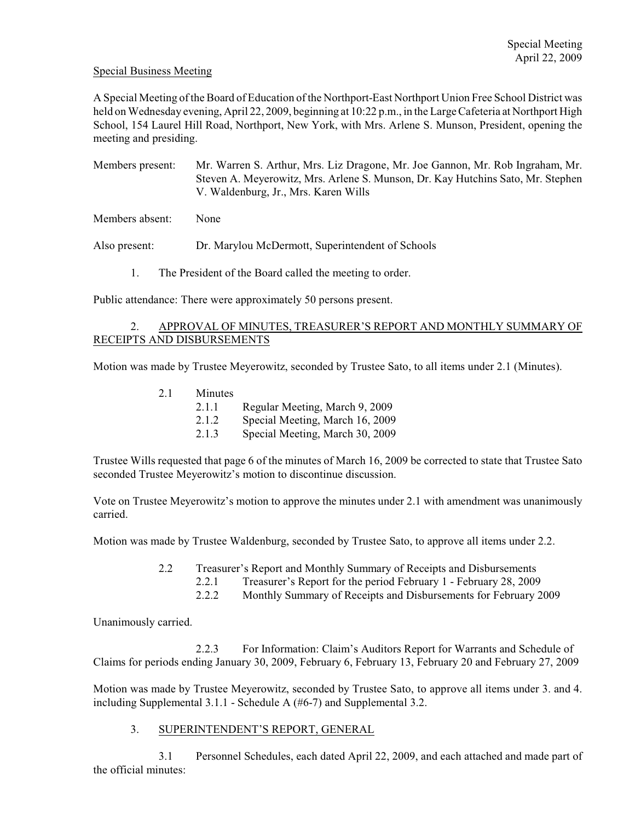## Special Business Meeting

A Special Meeting of the Board of Education of the Northport-East Northport Union Free School District was held on Wednesday evening, April 22, 2009, beginning at 10:22 p.m., in the Large Cafeteria at Northport High School, 154 Laurel Hill Road, Northport, New York, with Mrs. Arlene S. Munson, President, opening the meeting and presiding.

Members present: Mr. Warren S. Arthur, Mrs. Liz Dragone, Mr. Joe Gannon, Mr. Rob Ingraham, Mr. Steven A. Meyerowitz, Mrs. Arlene S. Munson, Dr. Kay Hutchins Sato, Mr. Stephen V. Waldenburg, Jr., Mrs. Karen Wills

Members absent: None

Also present: Dr. Marylou McDermott, Superintendent of Schools

1. The President of the Board called the meeting to order.

Public attendance: There were approximately 50 persons present.

## 2. APPROVAL OF MINUTES, TREASURER'S REPORT AND MONTHLY SUMMARY OF RECEIPTS AND DISBURSEMENTS

Motion was made by Trustee Meyerowitz, seconded by Trustee Sato, to all items under 2.1 (Minutes).

| 2.1 | Minutes |                                 |
|-----|---------|---------------------------------|
|     | 2.1.1   | Regular Meeting, March 9, 2009  |
|     | 2.1.2   | Special Meeting, March 16, 2009 |
|     | 2.1.3   | Special Meeting, March 30, 2009 |

Trustee Wills requested that page 6 of the minutes of March 16, 2009 be corrected to state that Trustee Sato seconded Trustee Meyerowitz's motion to discontinue discussion.

Vote on Trustee Meyerowitz's motion to approve the minutes under 2.1 with amendment was unanimously carried.

Motion was made by Trustee Waldenburg, seconded by Trustee Sato, to approve all items under 2.2.

- 2.2 Treasurer's Report and Monthly Summary of Receipts and Disbursements
	- 2.2.1 Treasurer's Report for the period February 1 February 28, 2009
	- 2.2.2 Monthly Summary of Receipts and Disbursements for February 2009

Unanimously carried.

2.2.3 For Information: Claim's Auditors Report for Warrants and Schedule of Claims for periods ending January 30, 2009, February 6, February 13, February 20 and February 27, 2009

Motion was made by Trustee Meyerowitz, seconded by Trustee Sato, to approve all items under 3. and 4. including Supplemental 3.1.1 - Schedule A (#6-7) and Supplemental 3.2.

3. SUPERINTENDENT'S REPORT, GENERAL

3.1 Personnel Schedules, each dated April 22, 2009, and each attached and made part of the official minutes: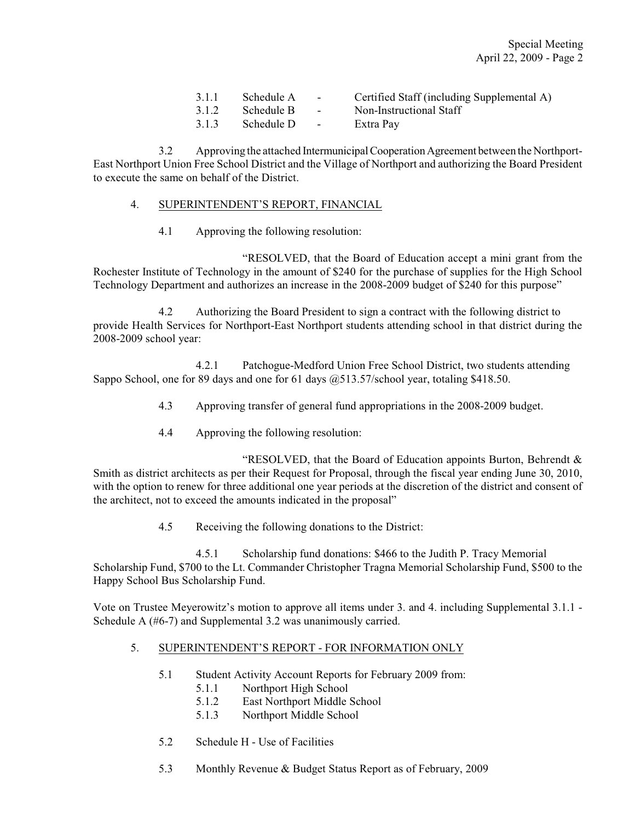| 3.1.1 | Schedule A | $\sim$        | Certified Staff (including Supplemental A) |
|-------|------------|---------------|--------------------------------------------|
| 3.1.2 | Schedule B | $\sim$        | Non-Instructional Staff                    |
| 3.1.3 | Schedule D | $\sim$ $\sim$ | Extra Pay                                  |

3.2 Approving the attached Intermunicipal Cooperation Agreement between the Northport-East Northport Union Free School District and the Village of Northport and authorizing the Board President to execute the same on behalf of the District.

### 4. SUPERINTENDENT'S REPORT, FINANCIAL

4.1 Approving the following resolution:

"RESOLVED, that the Board of Education accept a mini grant from the Rochester Institute of Technology in the amount of \$240 for the purchase of supplies for the High School Technology Department and authorizes an increase in the 2008-2009 budget of \$240 for this purpose"

4.2 Authorizing the Board President to sign a contract with the following district to provide Health Services for Northport-East Northport students attending school in that district during the 2008-2009 school year:

4.2.1 Patchogue-Medford Union Free School District, two students attending Sappo School, one for 89 days and one for 61 days  $(a)$  513.57/school year, totaling \$418.50.

- 4.3 Approving transfer of general fund appropriations in the 2008-2009 budget.
- 4.4 Approving the following resolution:

"RESOLVED, that the Board of Education appoints Burton, Behrendt & Smith as district architects as per their Request for Proposal, through the fiscal year ending June 30, 2010, with the option to renew for three additional one year periods at the discretion of the district and consent of the architect, not to exceed the amounts indicated in the proposal"

4.5 Receiving the following donations to the District:

4.5.1 Scholarship fund donations: \$466 to the Judith P. Tracy Memorial Scholarship Fund, \$700 to the Lt. Commander Christopher Tragna Memorial Scholarship Fund, \$500 to the Happy School Bus Scholarship Fund.

Vote on Trustee Meyerowitz's motion to approve all items under 3. and 4. including Supplemental 3.1.1 - Schedule A (#6-7) and Supplemental 3.2 was unanimously carried.

#### 5. SUPERINTENDENT'S REPORT - FOR INFORMATION ONLY

- 5.1 Student Activity Account Reports for February 2009 from:
	- 5.1.1 Northport High School
	- 5.1.2 East Northport Middle School
	- 5.1.3 Northport Middle School
- 5.2 Schedule H Use of Facilities
- 5.3 Monthly Revenue & Budget Status Report as of February, 2009